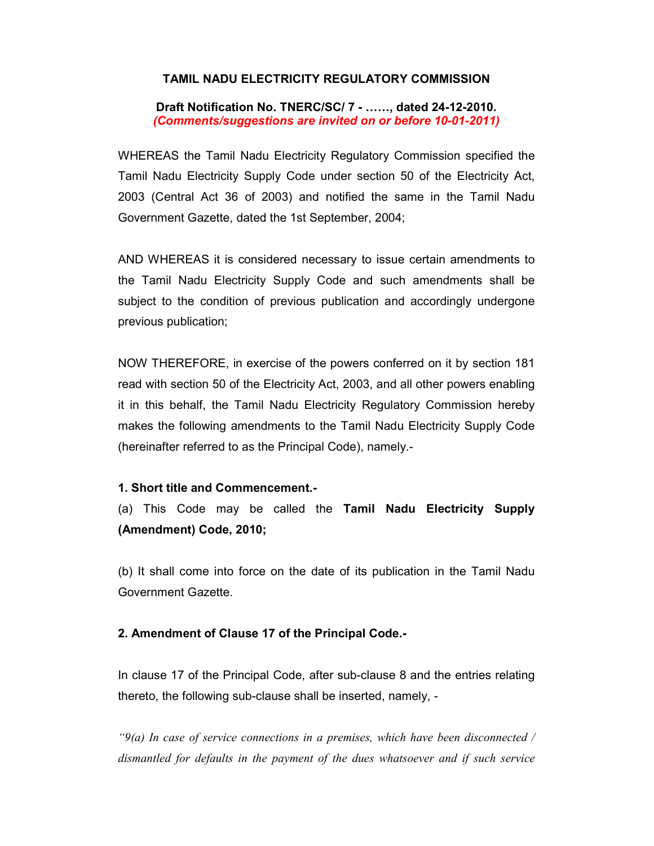# TAMIL NADU ELECTRICITY REGULATORY COMMISSION

Draft Notification No. TNERC/SC/ 7 - ……, dated 24-12-2010. (Comments/suggestions are invited on or before 10-01-2011)

WHEREAS the Tamil Nadu Electricity Regulatory Commission specified the Tamil Nadu Electricity Supply Code under section 50 of the Electricity Act, 2003 (Central Act 36 of 2003) and notified the same in the Tamil Nadu Government Gazette, dated the 1st September, 2004;

AND WHEREAS it is considered necessary to issue certain amendments to the Tamil Nadu Electricity Supply Code and such amendments shall be subject to the condition of previous publication and accordingly undergone previous publication;

NOW THEREFORE, in exercise of the powers conferred on it by section 181 read with section 50 of the Electricity Act, 2003, and all other powers enabling it in this behalf, the Tamil Nadu Electricity Regulatory Commission hereby makes the following amendments to the Tamil Nadu Electricity Supply Code (hereinafter referred to as the Principal Code), namely.-

## 1. Short title and Commencement.-

(a) This Code may be called the Tamil Nadu Electricity Supply (Amendment) Code, 2010;

(b) It shall come into force on the date of its publication in the Tamil Nadu Government Gazette.

## 2. Amendment of Clause 17 of the Principal Code.-

In clause 17 of the Principal Code, after sub-clause 8 and the entries relating thereto, the following sub-clause shall be inserted, namely, -

" $9(a)$  In case of service connections in a premises, which have been disconnected / dismantled for defaults in the payment of the dues whatsoever and if such service